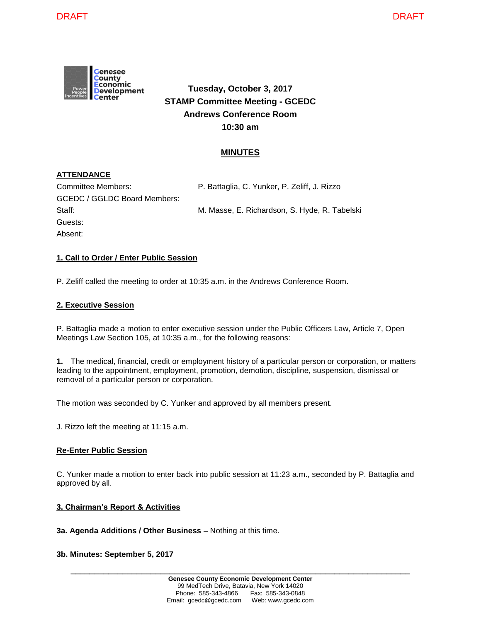

# **Tuesday, October 3, 2017 STAMP Committee Meeting - GCEDC Andrews Conference Room 10:30 am**

# **MINUTES**

# **ATTENDANCE**

| Committee Members:           | P. Battaglia, C. Yunker, P. Zeliff, J. Rizzo  |
|------------------------------|-----------------------------------------------|
| GCEDC / GGLDC Board Members: |                                               |
| Staff:                       | M. Masse, E. Richardson, S. Hyde, R. Tabelski |
| Guests:                      |                                               |
| Absent:                      |                                               |

### **1. Call to Order / Enter Public Session**

P. Zeliff called the meeting to order at 10:35 a.m. in the Andrews Conference Room.

#### **2. Executive Session**

P. Battaglia made a motion to enter executive session under the Public Officers Law, Article 7, Open Meetings Law Section 105, at 10:35 a.m., for the following reasons:

**1.** The medical, financial, credit or employment history of a particular person or corporation, or matters leading to the appointment, employment, promotion, demotion, discipline, suspension, dismissal or removal of a particular person or corporation.

The motion was seconded by C. Yunker and approved by all members present.

J. Rizzo left the meeting at 11:15 a.m.

### **Re-Enter Public Session**

C. Yunker made a motion to enter back into public session at 11:23 a.m., seconded by P. Battaglia and approved by all.

### **3. Chairman's Report & Activities**

**3a. Agenda Additions / Other Business –** Nothing at this time.

#### **3b. Minutes: September 5, 2017**

**\_\_\_\_\_\_\_\_\_\_\_\_\_\_\_\_\_\_\_\_\_\_\_\_\_\_\_\_\_\_\_\_\_\_\_\_\_\_\_\_\_\_\_\_\_\_\_\_\_\_\_\_\_\_\_\_\_\_\_\_\_\_\_\_\_\_\_\_\_\_\_\_**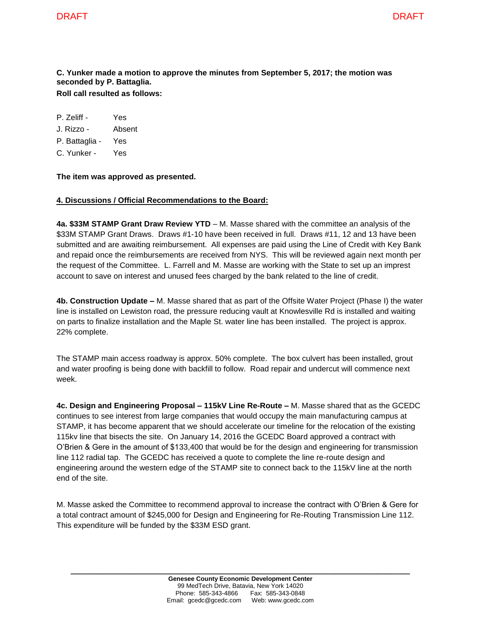#### **C. Yunker made a motion to approve the minutes from September 5, 2017; the motion was seconded by P. Battaglia. Roll call resulted as follows:**

P. Zeliff - Yes

J. Rizzo - Absent

P. Battaglia - Yes

C. Yunker - Yes

**The item was approved as presented.**

# **4. Discussions / Official Recommendations to the Board:**

**4a. \$33M STAMP Grant Draw Review YTD** – M. Masse shared with the committee an analysis of the \$33M STAMP Grant Draws. Draws #1-10 have been received in full. Draws #11, 12 and 13 have been submitted and are awaiting reimbursement. All expenses are paid using the Line of Credit with Key Bank and repaid once the reimbursements are received from NYS. This will be reviewed again next month per the request of the Committee. L. Farrell and M. Masse are working with the State to set up an imprest account to save on interest and unused fees charged by the bank related to the line of credit.

**4b. Construction Update –** M. Masse shared that as part of the Offsite Water Project (Phase I) the water line is installed on Lewiston road, the pressure reducing vault at Knowlesville Rd is installed and waiting on parts to finalize installation and the Maple St. water line has been installed. The project is approx. 22% complete.

The STAMP main access roadway is approx. 50% complete. The box culvert has been installed, grout and water proofing is being done with backfill to follow. Road repair and undercut will commence next week.

**4c. Design and Engineering Proposal – 115kV Line Re-Route –** M. Masse shared that as the GCEDC continues to see interest from large companies that would occupy the main manufacturing campus at STAMP, it has become apparent that we should accelerate our timeline for the relocation of the existing 115kv line that bisects the site. On January 14, 2016 the GCEDC Board approved a contract with O'Brien & Gere in the amount of \$133,400 that would be for the design and engineering for transmission line 112 radial tap. The GCEDC has received a quote to complete the line re-route design and engineering around the western edge of the STAMP site to connect back to the 115kV line at the north end of the site.

M. Masse asked the Committee to recommend approval to increase the contract with O'Brien & Gere for a total contract amount of \$245,000 for Design and Engineering for Re-Routing Transmission Line 112. This expenditure will be funded by the \$33M ESD grant.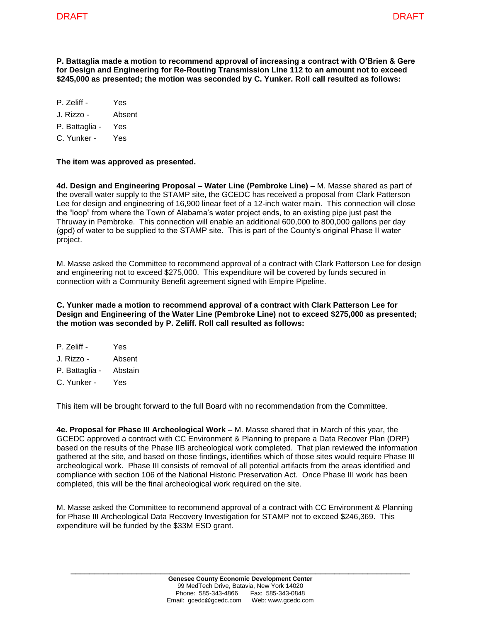**P. Battaglia made a motion to recommend approval of increasing a contract with O'Brien & Gere for Design and Engineering for Re-Routing Transmission Line 112 to an amount not to exceed \$245,000 as presented; the motion was seconded by C. Yunker. Roll call resulted as follows:**

- P. Zeliff Yes
- J. Rizzo Absent
- P. Battaglia Yes
- C. Yunker Yes

#### **The item was approved as presented.**

**4d. Design and Engineering Proposal – Water Line (Pembroke Line) –** M. Masse shared as part of the overall water supply to the STAMP site, the GCEDC has received a proposal from Clark Patterson Lee for design and engineering of 16,900 linear feet of a 12-inch water main. This connection will close the "loop" from where the Town of Alabama's water project ends, to an existing pipe just past the Thruway in Pembroke. This connection will enable an additional 600,000 to 800,000 gallons per day (gpd) of water to be supplied to the STAMP site. This is part of the County's original Phase II water project.

M. Masse asked the Committee to recommend approval of a contract with Clark Patterson Lee for design and engineering not to exceed \$275,000. This expenditure will be covered by funds secured in connection with a Community Benefit agreement signed with Empire Pipeline.

**C. Yunker made a motion to recommend approval of a contract with Clark Patterson Lee for Design and Engineering of the Water Line (Pembroke Line) not to exceed \$275,000 as presented; the motion was seconded by P. Zeliff. Roll call resulted as follows:**

P. Zeliff - Yes J. Rizzo - Absent P. Battaglia - Abstain C. Yunker - Yes

This item will be brought forward to the full Board with no recommendation from the Committee.

**4e. Proposal for Phase III Archeological Work –** M. Masse shared that in March of this year, the GCEDC approved a contract with CC Environment & Planning to prepare a Data Recover Plan (DRP) based on the results of the Phase IIB archeological work completed. That plan reviewed the information gathered at the site, and based on those findings, identifies which of those sites would require Phase III archeological work. Phase III consists of removal of all potential artifacts from the areas identified and compliance with section 106 of the National Historic Preservation Act. Once Phase III work has been completed, this will be the final archeological work required on the site.

M. Masse asked the Committee to recommend approval of a contract with CC Environment & Planning for Phase III Archeological Data Recovery Investigation for STAMP not to exceed \$246,369. This expenditure will be funded by the \$33M ESD grant.

**\_\_\_\_\_\_\_\_\_\_\_\_\_\_\_\_\_\_\_\_\_\_\_\_\_\_\_\_\_\_\_\_\_\_\_\_\_\_\_\_\_\_\_\_\_\_\_\_\_\_\_\_\_\_\_\_\_\_\_\_\_\_\_\_\_\_\_\_\_\_\_\_**